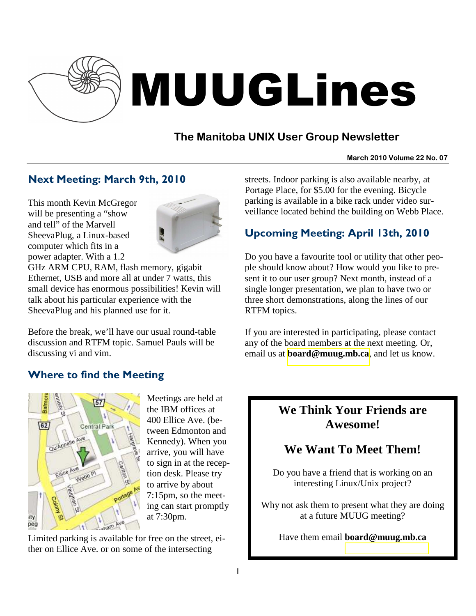

# MUUGLines

## **The Manitoba UNIX User Group Newsletter**

#### **March 2010 Volume 22 No. 07**

## Next Meeting: March 9th, 2010

This month Kevin McGregor will be presenting a "show and tell" of the Marvell SheevaPlug, a Linux-based computer which fits in a power adapter. With a 1.2



GHz ARM CPU, RAM, flash memory, gigabit Ethernet, USB and more all at under 7 watts, this small device has enormous possibilities! Kevin will talk about his particular experience with the SheevaPlug and his planned use for it.

Before the break, we'll have our usual round-table discussion and RTFM topic. Samuel Pauls will be discussing vi and vim.

### Where to find the Meeting



Meetings are held at the IBM offices at 400 Ellice Ave. (between Edmonton and Kennedy). When you arrive, you will have to sign in at the reception desk. Please try to arrive by about 7:15pm, so the meeting can start promptly at 7:30pm.

Limited parking is available for free on the street, either on Ellice Ave. or on some of the intersecting

streets. Indoor parking is also available nearby, at Portage Place, for \$5.00 for the evening. Bicycle parking is available in a bike rack under video surveillance located behind the building on Webb Place.

## Upcoming Meeting: April 13th, 2010

Do you have a favourite tool or utility that other people should know about? How would you like to present it to our user group? Next month, instead of a single longer presentation, we plan to have two or three short demonstrations, along the lines of our RTFM topics.

If you are interested in participating, please contact any of the board members at the next meeting. Or, email us at **[board@muug.mb.ca](mailto:board@muug.mb.ca)**, and let us know.

## **We Think Your Friends are Awesome!**

## **We Want To Meet Them!**

Do you have a friend that is working on an interesting Linux/Unix project?

Why not ask them to present what they are doing at a future MUUG meeting?

Have them email **board@muug.mb.ca**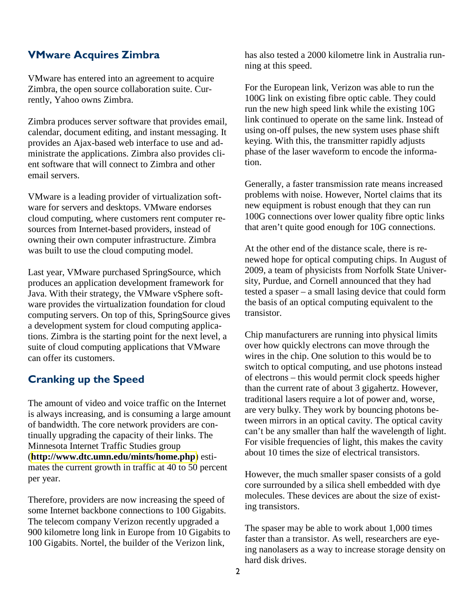#### VMware Acquires Zimbra

VMware has entered into an agreement to acquire Zimbra, the open source collaboration suite. Currently, Yahoo owns Zimbra.

Zimbra produces server software that provides email, calendar, document editing, and instant messaging. It provides an Ajax-based web interface to use and administrate the applications. Zimbra also provides client software that will connect to Zimbra and other email servers.

VMware is a leading provider of virtualization software for servers and desktops. VMware endorses cloud computing, where customers rent computer resources from Internet-based providers, instead of owning their own computer infrastructure. Zimbra was built to use the cloud computing model.

Last year, VMware purchased SpringSource, which produces an application development framework for Java. With their strategy, the VMware vSphere software provides the virtualization foundation for cloud computing servers. On top of this, SpringSource gives a development system for cloud computing applications. Zimbra is the starting point for the next level, a suite of cloud computing applications that VMware can offer its customers.

#### Cranking up the Speed

The amount of video and voice traffic on the Internet is always increasing, and is consuming a large amount of bandwidth. The core network providers are continually upgrading the capacity of their links. The Minnesota Internet Traffic Studies group (**<http://www.dtc.umn.edu/mints/home.php>**) estimates the current growth in traffic at 40 to 50 percent per year.

Therefore, providers are now increasing the speed of some Internet backbone connections to 100 Gigabits. The telecom company Verizon recently upgraded a 900 kilometre long link in Europe from 10 Gigabits to 100 Gigabits. Nortel, the builder of the Verizon link,

has also tested a 2000 kilometre link in Australia running at this speed.

For the European link, Verizon was able to run the 100G link on existing fibre optic cable. They could run the new high speed link while the existing 10G link continued to operate on the same link. Instead of using on-off pulses, the new system uses phase shift keying. With this, the transmitter rapidly adjusts phase of the laser waveform to encode the information.

Generally, a faster transmission rate means increased problems with noise. However, Nortel claims that its new equipment is robust enough that they can run 100G connections over lower quality fibre optic links that aren't quite good enough for 10G connections.

At the other end of the distance scale, there is renewed hope for optical computing chips. In August of 2009, a team of physicists from Norfolk State University, Purdue, and Cornell announced that they had tested a spaser – a small lasing device that could form the basis of an optical computing equivalent to the transistor.

Chip manufacturers are running into physical limits over how quickly electrons can move through the wires in the chip. One solution to this would be to switch to optical computing, and use photons instead of electrons – this would permit clock speeds higher than the current rate of about 3 gigahertz. However, traditional lasers require a lot of power and, worse, are very bulky. They work by bouncing photons between mirrors in an optical cavity. The optical cavity can't be any smaller than half the wavelength of light. For visible frequencies of light, this makes the cavity about 10 times the size of electrical transistors.

However, the much smaller spaser consists of a gold core surrounded by a silica shell embedded with dye molecules. These devices are about the size of existing transistors.

The spaser may be able to work about 1,000 times faster than a transistor. As well, researchers are eyeing nanolasers as a way to increase storage density on hard disk drives.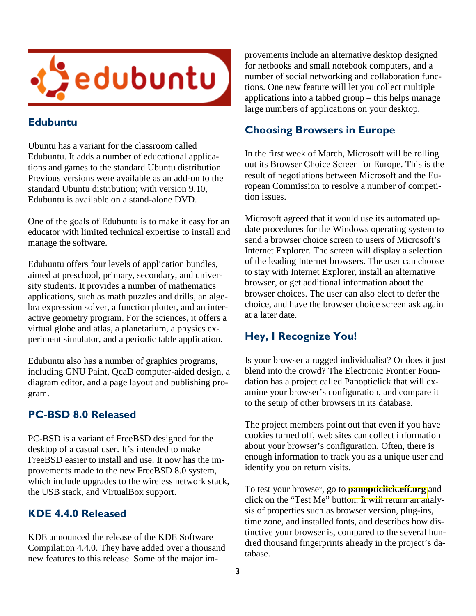

#### Edubuntu

Ubuntu has a variant for the classroom called Edubuntu. It adds a number of educational applications and games to the standard Ubuntu distribution. Previous versions were available as an add-on to the standard Ubuntu distribution; with version 9.10, Edubuntu is available on a stand-alone DVD.

One of the goals of Edubuntu is to make it easy for an educator with limited technical expertise to install and manage the software.

Edubuntu offers four levels of application bundles, aimed at preschool, primary, secondary, and university students. It provides a number of mathematics applications, such as math puzzles and drills, an algebra expression solver, a function plotter, and an interactive geometry program. For the sciences, it offers a virtual globe and atlas, a planetarium, a physics experiment simulator, and a periodic table application.

Edubuntu also has a number of graphics programs, including GNU Paint, QcaD computer-aided design, a diagram editor, and a page layout and publishing program.

#### PC-BSD 8.0 Released

PC-BSD is a variant of FreeBSD designed for the desktop of a casual user. It's intended to make FreeBSD easier to install and use. It now has the improvements made to the new FreeBSD 8.0 system, which include upgrades to the wireless network stack, the USB stack, and VirtualBox support.

#### KDE 4.4.0 Released

KDE announced the release of the KDE Software Compilation 4.4.0. They have added over a thousand new features to this release. Some of the major improvements include an alternative desktop designed for netbooks and small notebook computers, and a number of social networking and collaboration functions. One new feature will let you collect multiple applications into a tabbed group – this helps manage large numbers of applications on your desktop.

#### Choosing Browsers in Europe

In the first week of March, Microsoft will be rolling out its Browser Choice Screen for Europe. This is the result of negotiations between Microsoft and the European Commission to resolve a number of competition issues.

Microsoft agreed that it would use its automated update procedures for the Windows operating system to send a browser choice screen to users of Microsoft's Internet Explorer. The screen will display a selection of the leading Internet browsers. The user can choose to stay with Internet Explorer, install an alternative browser, or get additional information about the browser choices. The user can also elect to defer the choice, and have the browser choice screen ask again at a later date.

### Hey, I Recognize You!

Is your browser a rugged individualist? Or does it just blend into the crowd? The Electronic Frontier Foundation has a project called Panopticlick that will examine your browser's configuration, and compare it to the setup of other browsers in its database.

The project members point out that even if you have cookies turned off, web sites can collect information about your browser's configuration. Often, there is enough information to track you as a unique user and identify you on return visits.

To test your browser, go to **[panopticlick.eff.org](http://panopticlick.eff.org/)** and click on the "Test Me" button. It will return an analysis of properties such as browser version, plug-ins, time zone, and installed fonts, and describes how distinctive your browser is, compared to the several hundred thousand fingerprints already in the project's database.